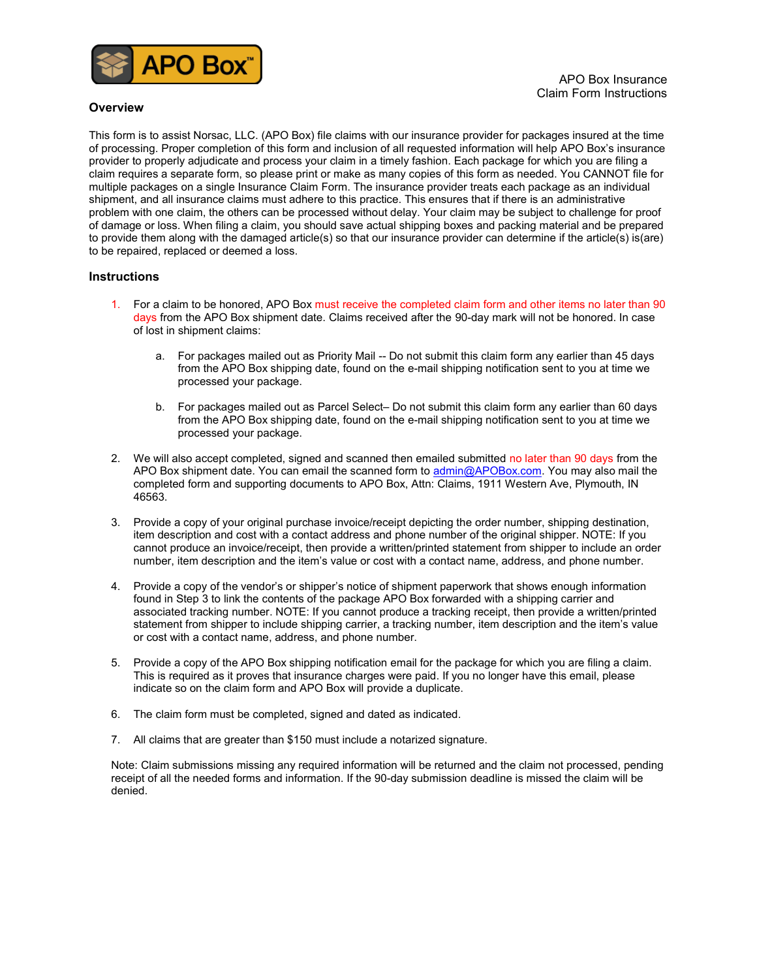

## **Overview**

This form is to assist Norsac, LLC. (APO Box) file claims with our insurance provider for packages insured at the time of processing. Proper completion of this form and inclusion of all requested information will help APO Box's insurance provider to properly adjudicate and process your claim in a timely fashion. Each package for which you are filing a claim requires a separate form, so please print or make as many copies of this form as needed. You CANNOT file for multiple packages on a single Insurance Claim Form. The insurance provider treats each package as an individual shipment, and all insurance claims must adhere to this practice. This ensures that if there is an administrative problem with one claim, the others can be processed without delay. Your claim may be subject to challenge for proof of damage or loss. When filing a claim, you should save actual shipping boxes and packing material and be prepared to provide them along with the damaged article(s) so that our insurance provider can determine if the article(s) is(are) to be repaired, replaced or deemed a loss.

## **Instructions**

- 1. For a claim to be honored, APO Box must receive the completed claim form and other items no later than 90 days from the APO Box shipment date. Claims received after the 90-day mark will not be honored. In case of lost in shipment claims:
	- a. For packages mailed out as Priority Mail -- Do not submit this claim form any earlier than 45 days from the APO Box shipping date, found on the e-mail shipping notification sent to you at time we processed your package.
	- b. For packages mailed out as Parcel Select– Do not submit this claim form any earlier than 60 days from the APO Box shipping date, found on the e-mail shipping notification sent to you at time we processed your package.
- 2. We will also accept completed, signed and scanned then emailed submitted no later than 90 days from the APO Box shipment date. You can email the scanned form to admin@APOBox.com. You may also mail the completed form and supporting documents to APO Box, Attn: Claims, 1911 Western Ave, Plymouth, IN 46563.
- 3. Provide a copy of your original purchase invoice/receipt depicting the order number, shipping destination, item description and cost with a contact address and phone number of the original shipper. NOTE: If you cannot produce an invoice/receipt, then provide a written/printed statement from shipper to include an order number, item description and the item's value or cost with a contact name, address, and phone number.
- 4. Provide a copy of the vendor's or shipper's notice of shipment paperwork that shows enough information found in Step 3 to link the contents of the package APO Box forwarded with a shipping carrier and associated tracking number. NOTE: If you cannot produce a tracking receipt, then provide a written/printed statement from shipper to include shipping carrier, a tracking number, item description and the item's value or cost with a contact name, address, and phone number.
- 5. Provide a copy of the APO Box shipping notification email for the package for which you are filing a claim. This is required as it proves that insurance charges were paid. If you no longer have this email, please indicate so on the claim form and APO Box will provide a duplicate.
- 6. The claim form must be completed, signed and dated as indicated.
- 7. All claims that are greater than \$150 must include a notarized signature.

Note: Claim submissions missing any required information will be returned and the claim not processed, pending receipt of all the needed forms and information. If the 90-day submission deadline is missed the claim will be denied.